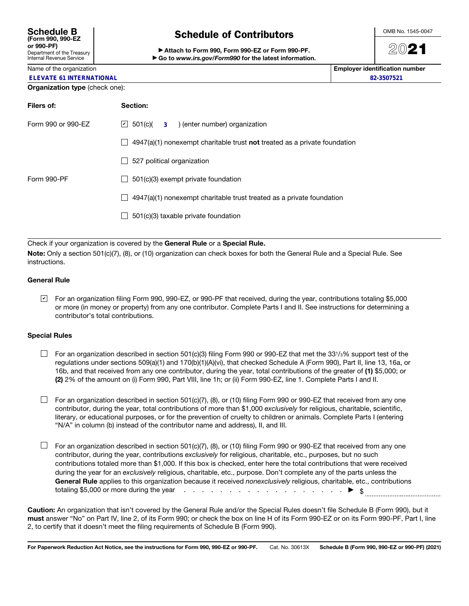| <b>Schedule B</b><br>(Form 990, 990-EZ                        |
|---------------------------------------------------------------|
| or 990-PF)                                                    |
| Department of the Treasury<br><b>Internal Revenue Service</b> |

# Schedule of Contributors

▶ Attach to Form 990, Form 990-EZ or Form 990-PF. ▶ Go to *www.irs.gov/Form990* for the latest information. OMB No. 1545-0047

# 2021

Name of the organization **Employer identification number**  $\blacksquare$ **82-3507521**

|  |  |  | <b>ELEVATE 61 INTERNATIONAL</b> |
|--|--|--|---------------------------------|

#### Organization type (check one):

| Filers of:         | Section:                                                                           |  |  |  |  |  |
|--------------------|------------------------------------------------------------------------------------|--|--|--|--|--|
| Form 990 or 990-EZ | $\boxed{\phantom{0}}$ 501(c)( 3 ) (enter number) organization                      |  |  |  |  |  |
|                    | $4947(a)(1)$ nonexempt charitable trust <b>not</b> treated as a private foundation |  |  |  |  |  |
|                    | 527 political organization                                                         |  |  |  |  |  |
| Form 990-PF        | 501(c)(3) exempt private foundation                                                |  |  |  |  |  |
|                    | 4947(a)(1) nonexempt charitable trust treated as a private foundation              |  |  |  |  |  |
|                    | 501(c)(3) taxable private foundation                                               |  |  |  |  |  |
|                    |                                                                                    |  |  |  |  |  |

Check if your organization is covered by the General Rule or a Special Rule.

Note: Only a section 501(c)(7), (8), or (10) organization can check boxes for both the General Rule and a Special Rule. See instructions.

## General Rule

For an organization filing Form 990, 990-EZ, or 990-PF that received, during the year, contributions totaling \$5,000 ✔or more (in money or property) from any one contributor. Complete Parts I and II. See instructions for determining a contributor's total contributions.

## Special Rules

- $\Box$  For an organization described in section 501(c)(3) filing Form 990 or 990-EZ that met the 331/3% support test of the regulations under sections 509(a)(1) and 170(b)(1)(A)(vi), that checked Schedule A (Form 990), Part II, line 13, 16a, or 16b, and that received from any one contributor, during the year, total contributions of the greater of (1) \$5,000; or (2) 2% of the amount on (i) Form 990, Part VIII, line 1h; or (ii) Form 990-EZ, line 1. Complete Parts I and II.
- $\Box$  For an organization described in section 501(c)(7), (8), or (10) filing Form 990 or 990-EZ that received from any one contributor, during the year, total contributions of more than \$1,000 *exclusively* for religious, charitable, scientific, literary, or educational purposes, or for the prevention of cruelty to children or animals. Complete Parts I (entering "N/A" in column (b) instead of the contributor name and address), II, and III.
- $\Box$  For an organization described in section 501(c)(7), (8), or (10) filing Form 990 or 990-EZ that received from any one contributor, during the year, contributions *exclusively* for religious, charitable, etc., purposes, but no such contributions totaled more than \$1,000. If this box is checked, enter here the total contributions that were received during the year for an *exclusively* religious, charitable, etc., purpose. Don't complete any of the parts unless the General Rule applies to this organization because it received *nonexclusively* religious, charitable, etc., contributions totaling \$5,000 or more during the year  $\cdots$  . . . . . . . . . . . . . . . .  $\blacktriangleright$  \$

Caution: An organization that isn't covered by the General Rule and/or the Special Rules doesn't file Schedule B (Form 990), but it must answer "No" on Part IV, line 2, of its Form 990; or check the box on line H of its Form 990-EZ or on its Form 990-PF, Part I, line 2, to certify that it doesn't meet the filing requirements of Schedule B (Form 990).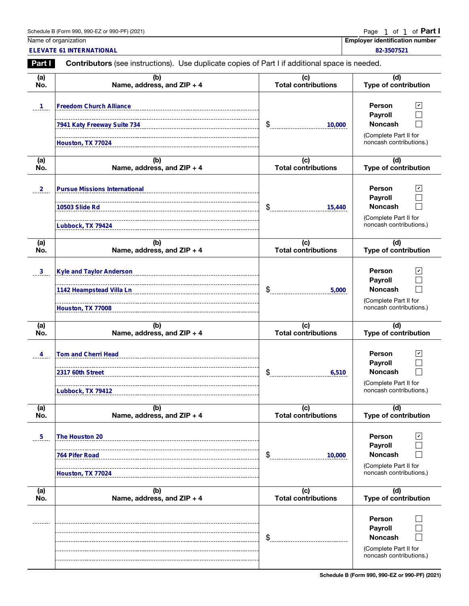| LDE.<br>$990 - E$<br>. (2021)<br>Schedule<br>∠aar i<br>990.<br>ರ (Form<br>υı<br><i>ສສບ</i> | Page | Οt | nt |  |
|--------------------------------------------------------------------------------------------|------|----|----|--|
|                                                                                            |      |    |    |  |

|                | Schedule B (Form 990, 990-EZ or 990-PF) (2021)                                                        |                                   | Page<br>1 of 1 of <b>Part I</b>                                                                                |
|----------------|-------------------------------------------------------------------------------------------------------|-----------------------------------|----------------------------------------------------------------------------------------------------------------|
|                | Name of organization<br><b>ELEVATE 61 INTERNATIONAL</b>                                               |                                   | <b>Employer identification number</b><br>82-3507521                                                            |
| Part I         | <b>Contributors</b> (see instructions). Use duplicate copies of Part I if additional space is needed. |                                   |                                                                                                                |
| (a)<br>No.     | (b)<br>Name, address, and ZIP + 4                                                                     | (c)<br><b>Total contributions</b> | (d)<br><b>Type of contribution</b>                                                                             |
| $\mathbf{1}$   | <b>Freedom Church Alliance</b>                                                                        |                                   | <b>Person</b><br>⊻<br>Payroll                                                                                  |
|                | 7941 Katy Freeway Suite 734<br>Houston, TX 77024                                                      | \$<br>10,000                      | <b>Noncash</b><br>(Complete Part II for<br>noncash contributions.)                                             |
| (a)<br>No.     | (b)<br>Name, address, and ZIP + 4                                                                     | (c)<br><b>Total contributions</b> | (d)<br><b>Type of contribution</b>                                                                             |
| $^{2}$         | <b>Pursue Missions International</b><br>10503 Slide Rd                                                | \$<br>15,440                      | <b>Person</b><br>$\vert\mathbf{v}\vert$<br>Payroll<br><b>Noncash</b>                                           |
|                | Lubbock, TX 79424                                                                                     |                                   | (Complete Part II for<br>noncash contributions.)                                                               |
| (a)<br>No.     | (b)<br>Name, address, and ZIP + 4                                                                     | (c)<br><b>Total contributions</b> | (d)<br><b>Type of contribution</b>                                                                             |
| $\frac{3}{2}$  | <b>Kyle and Taylor Anderson</b><br>1142 Heampstead Villa Ln                                           | \$<br>5,000                       | $\mathbf{v}$<br><b>Person</b><br>Payroll<br><b>Noncash</b>                                                     |
|                | Houston, TX 77008                                                                                     |                                   | (Complete Part II for<br>noncash contributions.)                                                               |
| (a)<br>No.     | (b)<br>Name, address, and ZIP + 4                                                                     | (c)<br><b>Total contributions</b> | (d)<br><b>Type of contribution</b>                                                                             |
| 4              | <b>Tom and Cherri Head</b><br>2317 60th Street<br>Lubbock, TX 79412                                   | ¢<br>6,510                        | <b>Person</b><br>$\mathbf{v}$<br>Payroll<br><b>Noncash</b><br>(Complete Part II for<br>noncash contributions.) |
| (a)<br>No.     | (b)<br>Name, address, and ZIP + 4                                                                     | (c)<br><b>Total contributions</b> | (d)<br><b>Type of contribution</b>                                                                             |
| 5 <sub>1</sub> | The Houston 20<br>764 Pifer Road<br>Houston, TX 77024                                                 | \$<br>10,000                      | Person<br>V<br>Payroll<br><b>Noncash</b><br>(Complete Part II for<br>noncash contributions.)                   |
| (a)<br>No.     | (b)<br>Name, address, and ZIP + 4                                                                     | (c)<br><b>Total contributions</b> | (d)<br>Type of contribution                                                                                    |
|                |                                                                                                       | \$                                | <b>Person</b><br>Payroll<br><b>Noncash</b><br>(Complete Part II for<br>noncash contributions.)                 |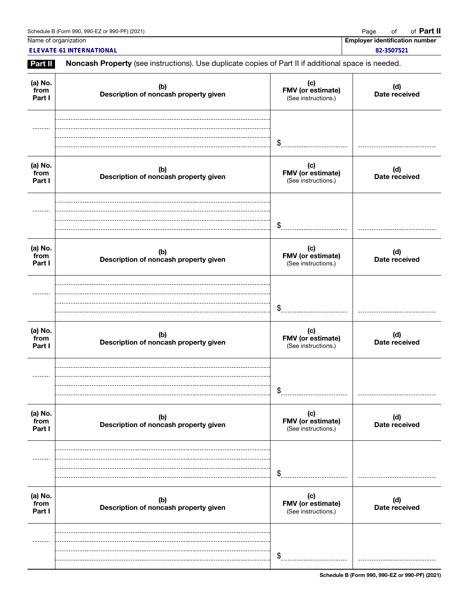Name of organization **Employer identification number** Name of organization **number** 

**ELEVATE 61 INTERNATIONAL 82-3507521**

Part II Noncash Property (see instructions). Use duplicate copies of Part II if additional space is needed.

| (a) No.<br>from<br>Part I | (b)<br>Description of noncash property given | (c)<br>FMV (or estimate)<br>(See instructions.) | (d)<br>Date received |
|---------------------------|----------------------------------------------|-------------------------------------------------|----------------------|
|                           |                                              | \$                                              |                      |
| (a) No.<br>from<br>Part I | (b)<br>Description of noncash property given | (c)<br>FMV (or estimate)<br>(See instructions.) | (d)<br>Date received |
|                           |                                              | \$                                              |                      |
| (a) No.<br>from<br>Part I | (b)<br>Description of noncash property given | (c)<br>FMV (or estimate)<br>(See instructions.) | (d)<br>Date received |
|                           |                                              | \$                                              |                      |
| (a) No.<br>from<br>Part I | (b)<br>Description of noncash property given | (c)<br>FMV (or estimate)<br>(See instructions.) | (d)<br>Date received |
|                           |                                              | \$                                              |                      |
| (a) No.<br>from<br>Part I | (b)<br>Description of noncash property given | (c)<br>FMV (or estimate)<br>(See instructions.) | (d)<br>Date received |
|                           |                                              | \$                                              |                      |
| (a) No.<br>from<br>Part I | (b)<br>Description of noncash property given | (c)<br>FMV (or estimate)<br>(See instructions.) | (d)<br>Date received |
|                           |                                              | \$                                              |                      |

Schedule B (Form 990, 990-EZ or 990-PF) (2021)